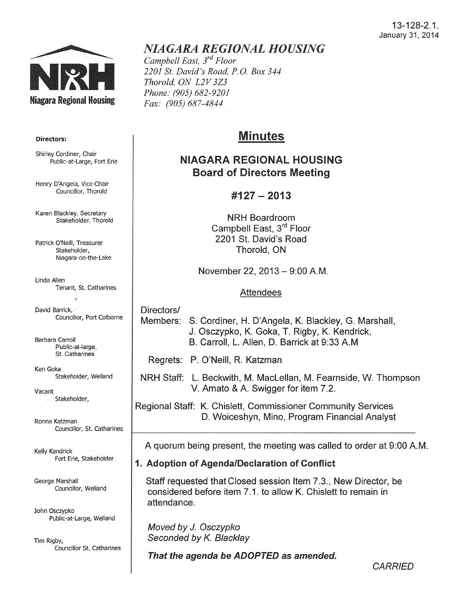

#### Directors:

Shirley Cordiner, Chair Public-at-Large, Fort Erie

Henry D'Angela, Vice-Chair Councillor, Thorold

Karen Blackley, Secretary Stakeholder, Thorold

Patrick O'Neill, Treasurer Stakeholder, Niagara-on-the-Lake

Linda Allen Tenant, St. Catharines

David Barrick, Councillor, Port Colborne

Barbara Carroll Public-at-large, St. Catharines

Ken Goka Stakeholder, Weiland

Vacant Stakeholder,

Ronna Katzman Councillor, St. Catharines

Kelly Kendrick Fort Erie, Stakeholder

George Marshall Councillor, Weiland

John Osczypko Public-at-Large, Weiland

Tim Rigby, Councillor St. catharines

## *NIAGARA REGIONAL HOUSING*

*Campbell East,* 3rd *Floor 2201 St. David's Road, P.O. Box 344 Thorold, ON L2V* 3Z3 *Phone: (905) 682-9201 Fax: (905) 687-4844* 

# Minutes

## NIAGARA REGIONAL HOUSING Board of Directors Meeting

## #127- 2013

NRH Boardroom Campbell East, 3<sup>rd</sup> Floor 2201 St. David's Road Thorold, ON

November 22, 2013 - 9:00 A.M.

#### Attendees

Directors/ Members: S. Cordiner, H. D'Angela, K. Blackley, G. Marshall, J. Osczypko, K. Goka, T. Rigby, K. Kendrick, B. Carroll, L. Allen, D. Barrick at 9:33AM

Regrets: P. O'Neill, R. Katzman

NRH Staff: L. Beckwith, M. Maclellan, M. Fearnside, W. Thompson V. Amato & A. Swigger for item 7 .2.

Regional Staff: K. Chislett, Commissioner Community Services D. Woiceshyn, Mino, Program Financial Analyst

A quorum being present, the meeting was called to order at 9:00 A.M.

## 1. Adoption of Agenda/Declaration of Conflict

Staff requested that Closed session Item 7.3., New Director, be considered before item 7.1. to allow K. Chislett to remain in attendance.

Moved by *J.* Osczypko Seconded by K. Blacklay

That the agenda be ADOPTED as amended.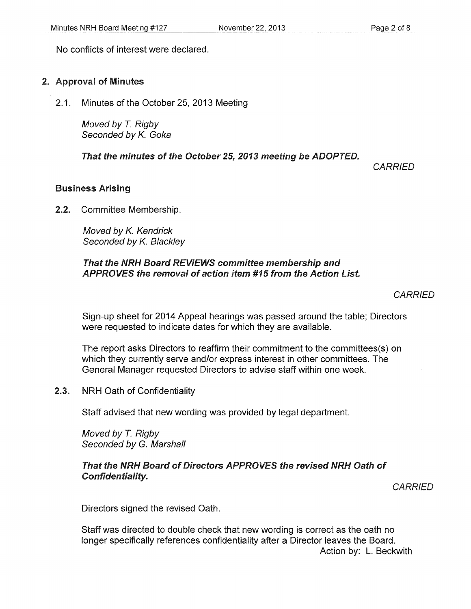No conflicts of interest were declared.

### 2. Approval of Minutes

2.1. Minutes of the October 25, 2013 Meeting

Moved by *T.* Rigby Seconded by K. Goka

That the minutes of the October 25, 2013 meeting be ADOPTED.

**CARRIED** 

### Business Arising

2.2. Committee Membership.

Moved by K. Kendrick Seconded by K. Blackley

#### That the NRH Board REVIEWS committee membership and APPROVES the removal of action item #15 from the Action List.

**CARRIED** 

Sign-up sheet for 2014 Appeal hearings was passed around the table; Directors were requested to indicate dates for which they are available.

The report asks Directors to reaffirm their commitment to the committees(s) on which they currently serve and/or express interest in other committees. The General Manager requested Directors to advise staff within one week.

2.3. NRH Oath of Confidentiality

Staff advised that new wording was provided by legal department.

Moved by *T.* Rigby Seconded by G. Marshall

### That the NRH Board of Directors APPROVES the revised NRH Oath of Confidentiality.

**CARRIED** 

Directors signed the revised Oath.

Staff was directed to double check that new wording is correct as the oath no longer specifically references confidentiality after a Director leaves the Board.

Action by: L. Beckwith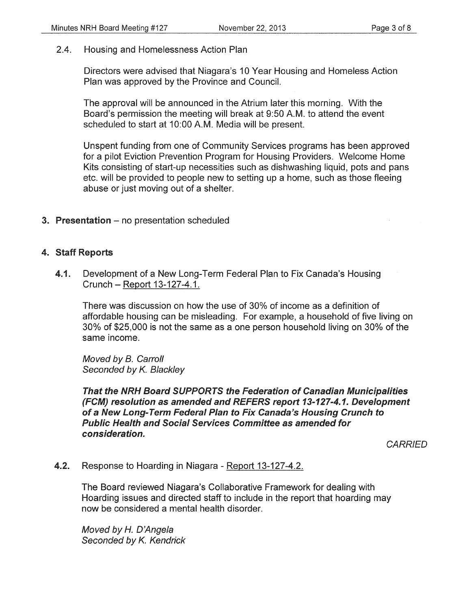2.4. Housing and Homelessness Action Plan

Directors were advised that Niagara's 10 Year Housing and Homeless Action Plan was approved by the Province and Council.

The approval will be announced in the Atrium later this morning. With the Board's permission the meeting will break at 9:50A.M. to attend the event scheduled to start at 10:00 A.M. Media will be present.

Unspent funding from one of Community Services programs has been approved for a pilot Eviction Prevention Program for Housing Providers. Welcome Home Kits consisting of start-up necessities such as dishwashing liquid, pots and pans etc. will be provided to people new to setting up a home, such as those fleeing abuse or just moving out of a shelter.

3. Presentation - no presentation scheduled

#### 4. Staff Reports

4.1. Development of a New Long-Term Federal Plan to Fix Canada's Housing Crunch - Report 13-127-4.1.

There was discussion on how the use of 30% of income as a definition of affordable housing can be misleading. For example, a household of five living on 30% of \$25,000 is not the same as a one person household living on 30% of the same income.

Moved by B. Carroll Seconded by *K.* Blackley

That the NRH Board SUPPORTS the Federation of Canadian Municipalities (FCM) resolution as amended and REFERS report 13-127-4.1. Development of a New Long-Term Federal Plan to Fix Canada's Housing Crunch to Public Health and Social Services Committee as amended for consideration.

**CARRIED** 

4.2. Response to Hoarding in Niagara- Report 13-127-4.2.

The Board reviewed Niagara's Collaborative Framework for dealing with Hoarding issues and directed staff to include in the report that hoarding may now be considered a mental health disorder.

Moved by *H.* D'Angela Seconded by *K.* Kendrick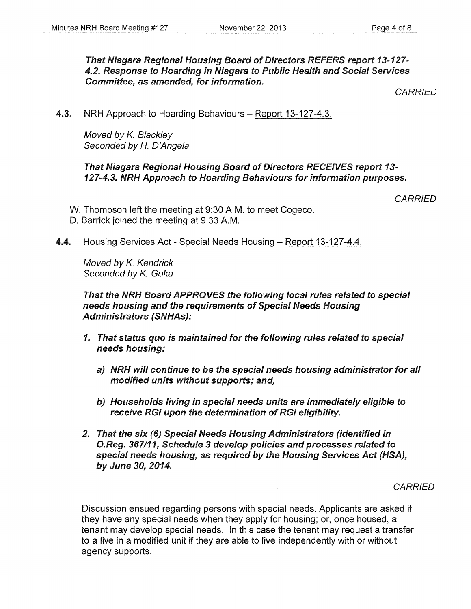That Niagara Regional Housing Board of Directors REFERS report 13-127-4.2. Response to Hoarding in Niagara to Public Health and Social Services Committee, as amended, for information.

**CARRIED** 

4.3. NRH Approach to Hoarding Behaviours – Report 13-127-4.3.

Moved by *K.* Blackley Seconded by *H.* D'Angela

### That Niagara Regional Housing Board of Directors RECEIVES report 13-127-4.3. NRH Approach to Hoarding Behaviours for information purposes.

**CARRIED** 

W. Thompson left the meeting at 9:30 A.M. to meet Cogeco. D. Barrick joined the meeting at 9:33A.M.

4.4. Housing Services Act - Special Needs Housing – Report 13-127-4.4.

Moved by *K.* Kendrick Seconded by *K.* Goka

That the NRH Board APPROVES the following local rules related to special needs housing and the requirements of Special Needs Housing Administrators (SNHAs):

- 1. That status quo is maintained for the following rules related to special needs housing:
	- a) NRH will continue to be the special needs housing administrator for all modified units without supports; and,
	- b) Households living in special needs units are immediately eligible to receive RGI upon the determination of RGI eligibility.
- 2. That the six (6) Special Needs Housing Administrators (identified in O.Reg. 367111, Schedule 3 develop policies and processes related to special needs housing, as required by the Housing Services Act (HSA), by June 30, 2014.

**CARRIED** 

Discussion ensued regarding persons with special needs. Applicants are asked if they have any special needs when they apply for housing; or, once housed, a tenant may develop special needs. In this case the tenant may request a transfer to a live in a modified unit if they are able to live independently with or without agency supports.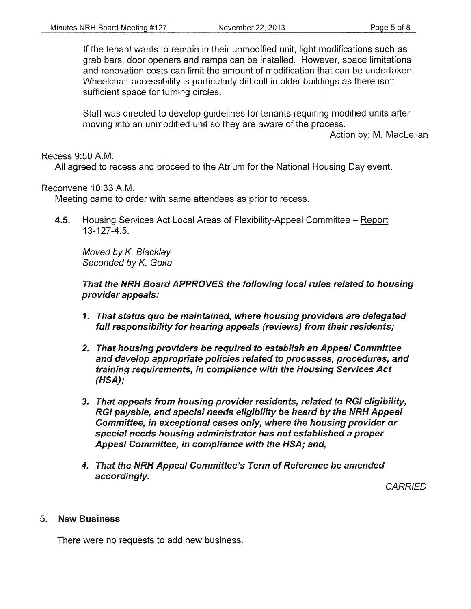If the tenant wants to remain in their unmodified unit, light modifications such as grab bars, door openers and ramps can be installed. However, space limitations and renovation costs can limit the amount of modification that can be undertaken. Wheelchair accessibility is particularly difficult in older buildings as there isn't sufficient space for turning circles.

Staff was directed to develop guidelines for tenants requiring modified units after moving into an unmodified unit so they are aware of the process.

Action by: M. Maclellan

#### Recess 9:50A.M.

All agreed to recess and proceed to the Atrium for the National Housing Day event.

#### Reconvene 10:33 A.M.

Meeting came to order with same attendees as prior to recess.

4.5. Housing Services Act Local Areas of Flexibility-Appeal Committee – Report 13-127-4.5.

Moved by K. Blackley Seconded by K. Goka

That the NRH Board APPROVES the following local rules related to housing provider appeals:

- 1. That status quo be maintained, where housing providers are delegated full responsibility for hearing appeals (reviews) from their residents;
- 2. That housing providers be required to establish an Appeal Committee and develop appropriate policies related to processes, procedures, and training requirements, in compliance with the Housing Services Act (HSA);
- 3. That appeals from housing provider residents, related to RGI eligibility, RGI payable, and special needs eligibility be heard by the NRH Appeal Committee, in exceptional cases only, where the housing provider or special needs housing administrator has not established a proper Appeal Committee, in compliance with the HSA; and,
- 4. That the NRH Appeal Committee's Term of Reference be amended accordingly.

**CARRIED** 

#### 5. New Business

There were no requests to add new business.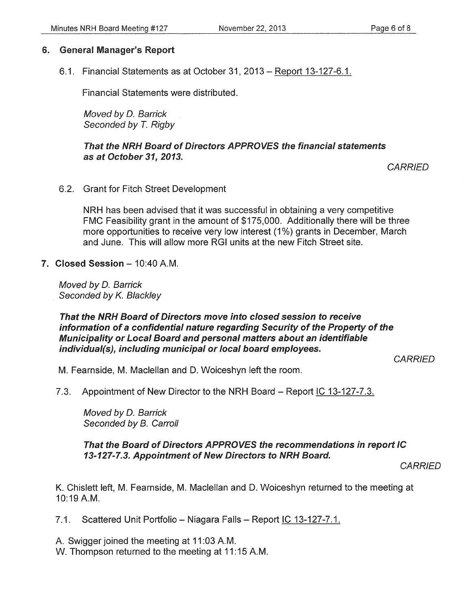## 6. General Manager's Report

6.1. Financial Statements as at October 31, 2013 – Report 13-127-6.1.

Financial Statements were distributed.

Moved by D. Barrick Seconded by *T.* Rigby

That the NRH Board of Directors APPROVES the financial statements as at October 31, 2013.

**CARRIED** 

6.2. Grant for Fitch Street Development

NRH has been advised that it was successful in obtaining a very competitive FMC Feasibility grant in the amount of \$175,000. Additionally there will be three more opportunities to receive very low interest (1%) grants in December, March and June. This will allow more RGI units at the new Fitch Street site.

7. Closed Session - 10:40 A.M.

Moved by D. Barrick Seconded by K. Blackley

#### That the NRH Board of Directors move into closed session to receive information of a confidential nature regarding Security of the Property of the Municipality or Local Board and personal matters about an identifiable individual(s), including municipal or local board employees.

*CARRIED* 

M. Fearnside, M. Maclellan and D. Woiceshyn left the room.

7.3. Appointment of New Director to the NRH Board – Report IC 13-127-7.3.

Moved by D. Barrick Seconded by B. Carroll

That the Board of Directors APPROVES the recommendations in report IC 13-127-7.3. Appointment of New Directors to NRH Board.

**CARRIED** 

K. Chislett left, M. Fearnside, M. Maclellan and D. Woiceshyn returned to the meeting at 10:19 A.M.

7.1. Scattered Unit Portfolio - Niagara Falls - Report IC 13-127-7.1.

A. Swigger joined the meeting at 11:03 A.M.

W. Thompson returned to the meeting at 11:15 A.M.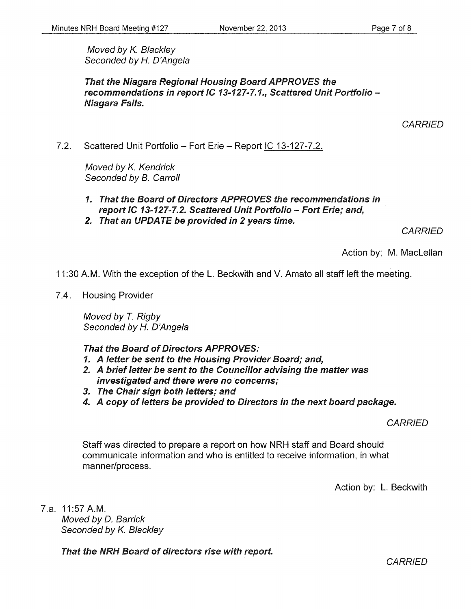Moved by K. Blackley Seconded by *H.* D'Angela

That the Niagara Regional Housing Board APPROVES the recommendations in report IC 13-127-7.1., Scattered Unit Portfolio-Niagara Falls.

**CARRIED** 

7.2. Scattered Unit Portfolio- Fort Erie- Report IC 13-127-7.2.

Moved by K. Kendrick Seconded by B. Carroll

- 1. That the Board of Directors APPROVES the recommendations in report IC 13-127-7.2. Scattered Unit Portfolio- Fort Erie; and,
- 2. That an UPDATE be provided in 2 years time.

**CARRIED** 

Action by; M. Maclellan

11 :30 A.M. With the exception of the L. Beckwith and V. Amato all staff left the meeting.

7.4. Housing Provider

Moved by *T.* Rigby Seconded by H. D'Angela

That the Board of Directors APPROVES:

- 1. A letter be sent to the Housing Provider Board; and,
- 2. A brief letter be sent to the Councillor advising the matter was investigated and there were no concerns;
- 3. The Chair sign both letters; and
- 4. A copy of letters be provided to Directors in the next board package.

### **CARRIED**

Staff was directed to prepare a report on how NRH staff and Board should communicate information and who is entitled to receive information, in what manner/process.

Action by: L. Beckwith

7.a. 11:57 A.M. Moved by D. Barrick Seconded by K. Blackley

That the NRH Board of directors rise with report.